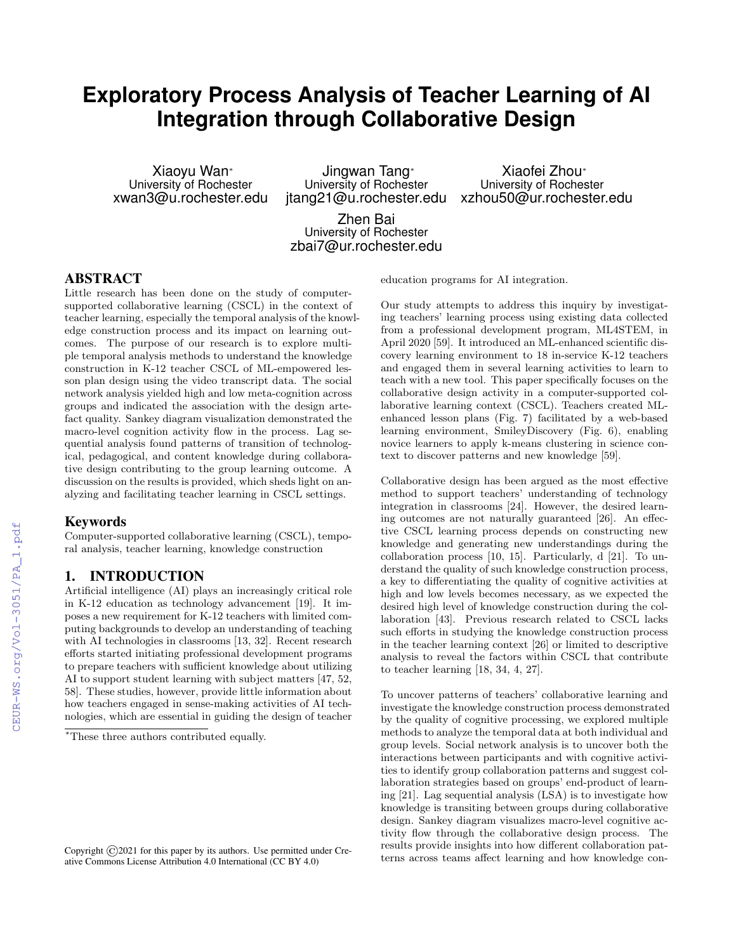# **Exploratory Process Analysis of Teacher Learning of AI Integration through Collaborative Design**

Xiaoyu Wan⇤ University of Rochester xwan3@u.rochester.edu

Jingwan Tang<sup>®</sup> University of Rochester jtang21@u.rochester.edu

Xiaofei Zhou<sup>®</sup> University of Rochester xzhou50@ur.rochester.edu

Zhen Bai University of Rochester zbai7@ur.rochester.edu

#### ABSTRACT

Little research has been done on the study of computersupported collaborative learning (CSCL) in the context of teacher learning, especially the temporal analysis of the knowledge construction process and its impact on learning outcomes. The purpose of our research is to explore multiple temporal analysis methods to understand the knowledge construction in K-12 teacher CSCL of ML-empowered lesson plan design using the video transcript data. The social network analysis yielded high and low meta-cognition across groups and indicated the association with the design artefact quality. Sankey diagram visualization demonstrated the macro-level cognition activity flow in the process. Lag sequential analysis found patterns of transition of technological, pedagogical, and content knowledge during collaborative design contributing to the group learning outcome. A discussion on the results is provided, which sheds light on analyzing and facilitating teacher learning in CSCL settings.

#### Keywords

Computer-supported collaborative learning (CSCL), temporal analysis, teacher learning, knowledge construction

# 1. INTRODUCTION

Artificial intelligence (AI) plays an increasingly critical role in K-12 education as technology advancement [19]. It imposes a new requirement for K-12 teachers with limited computing backgrounds to develop an understanding of teaching with AI technologies in classrooms [13, 32]. Recent research efforts started initiating professional development programs to prepare teachers with sufficient knowledge about utilizing AI to support student learning with subject matters [47, 52, 58]. These studies, however, provide little information about how teachers engaged in sense-making activities of AI technologies, which are essential in guiding the design of teacher

education programs for AI integration.

Our study attempts to address this inquiry by investigating teachers' learning process using existing data collected from a professional development program, ML4STEM, in April 2020 [59]. It introduced an ML-enhanced scientific discovery learning environment to 18 in-service K-12 teachers and engaged them in several learning activities to learn to teach with a new tool. This paper specifically focuses on the collaborative design activity in a computer-supported collaborative learning context (CSCL). Teachers created MLenhanced lesson plans (Fig. 7) facilitated by a web-based learning environment, SmileyDiscovery (Fig. 6), enabling novice learners to apply k-means clustering in science context to discover patterns and new knowledge [59].

Collaborative design has been argued as the most effective method to support teachers' understanding of technology integration in classrooms [24]. However, the desired learning outcomes are not naturally guaranteed  $[26]$ . An effective CSCL learning process depends on constructing new knowledge and generating new understandings during the collaboration process [10, 15]. Particularly, d [21]. To understand the quality of such knowledge construction process, a key to differentiating the quality of cognitive activities at high and low levels becomes necessary, as we expected the desired high level of knowledge construction during the collaboration [43]. Previous research related to CSCL lacks such efforts in studying the knowledge construction process in the teacher learning context [26] or limited to descriptive analysis to reveal the factors within CSCL that contribute to teacher learning [18, 34, 4, 27].

To uncover patterns of teachers' collaborative learning and investigate the knowledge construction process demonstrated by the quality of cognitive processing, we explored multiple methods to analyze the temporal data at both individual and group levels. Social network analysis is to uncover both the interactions between participants and with cognitive activities to identify group collaboration patterns and suggest collaboration strategies based on groups' end-product of learning [21]. Lag sequential analysis (LSA) is to investigate how knowledge is transiting between groups during collaborative design. Sankey diagram visualizes macro-level cognitive activity flow through the collaborative design process. The results provide insights into how different collaboration patterns across teams affect learning and how knowledge con-

<sup>∗</sup>These three authors contributed equally.

Copyright  $\odot$  2021 for this paper by its authors. Use permitted under Creative Commons License Attribution 4.0 International (CC BY 4.0)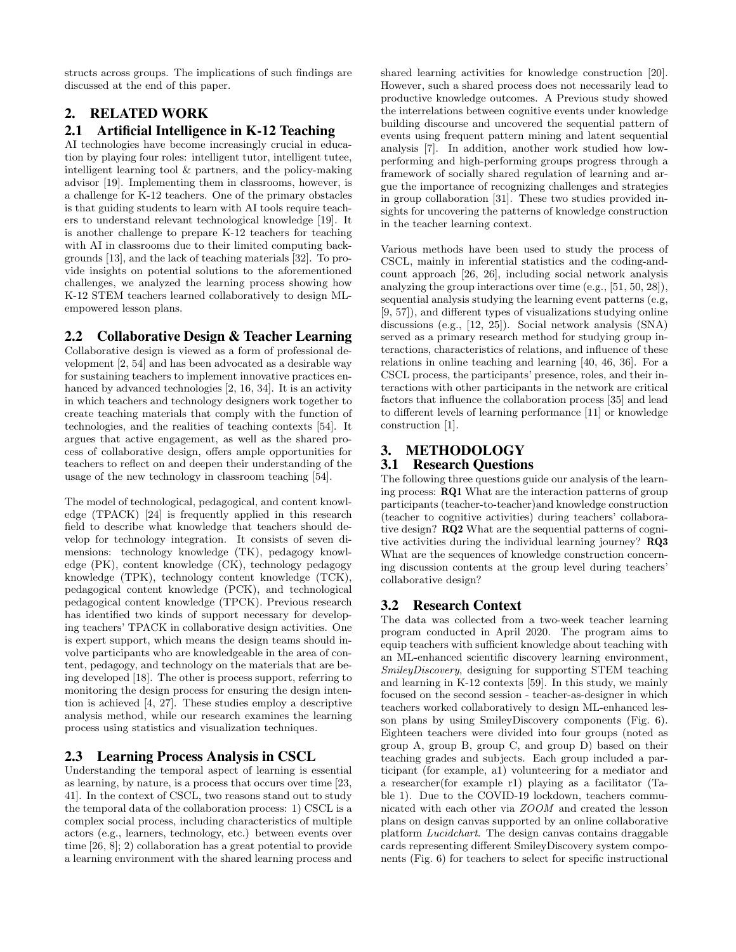structs across groups. The implications of such findings are discussed at the end of this paper.

# 2. RELATED WORK

### 2.1 Artificial Intelligence in K-12 Teaching

AI technologies have become increasingly crucial in education by playing four roles: intelligent tutor, intelligent tutee, intelligent learning tool & partners, and the policy-making advisor [19]. Implementing them in classrooms, however, is a challenge for K-12 teachers. One of the primary obstacles is that guiding students to learn with AI tools require teachers to understand relevant technological knowledge [19]. It is another challenge to prepare K-12 teachers for teaching with AI in classrooms due to their limited computing backgrounds [13], and the lack of teaching materials [32]. To provide insights on potential solutions to the aforementioned challenges, we analyzed the learning process showing how K-12 STEM teachers learned collaboratively to design MLempowered lesson plans.

# 2.2 Collaborative Design & Teacher Learning

Collaborative design is viewed as a form of professional development [2, 54] and has been advocated as a desirable way for sustaining teachers to implement innovative practices enhanced by advanced technologies [2, 16, 34]. It is an activity in which teachers and technology designers work together to create teaching materials that comply with the function of technologies, and the realities of teaching contexts [54]. It argues that active engagement, as well as the shared process of collaborative design, offers ample opportunities for teachers to reflect on and deepen their understanding of the usage of the new technology in classroom teaching [54].

The model of technological, pedagogical, and content knowledge (TPACK) [24] is frequently applied in this research field to describe what knowledge that teachers should develop for technology integration. It consists of seven dimensions: technology knowledge (TK), pedagogy knowledge (PK), content knowledge (CK), technology pedagogy knowledge (TPK), technology content knowledge (TCK), pedagogical content knowledge (PCK), and technological pedagogical content knowledge (TPCK). Previous research has identified two kinds of support necessary for developing teachers' TPACK in collaborative design activities. One is expert support, which means the design teams should involve participants who are knowledgeable in the area of content, pedagogy, and technology on the materials that are being developed [18]. The other is process support, referring to monitoring the design process for ensuring the design intention is achieved [4, 27]. These studies employ a descriptive analysis method, while our research examines the learning process using statistics and visualization techniques.

# 2.3 Learning Process Analysis in CSCL

Understanding the temporal aspect of learning is essential as learning, by nature, is a process that occurs over time [23, 41]. In the context of CSCL, two reasons stand out to study the temporal data of the collaboration process: 1) CSCL is a complex social process, including characteristics of multiple actors (e.g., learners, technology, etc.) between events over time [26, 8]; 2) collaboration has a great potential to provide a learning environment with the shared learning process and shared learning activities for knowledge construction [20]. However, such a shared process does not necessarily lead to productive knowledge outcomes. A Previous study showed the interrelations between cognitive events under knowledge building discourse and uncovered the sequential pattern of events using frequent pattern mining and latent sequential analysis [7]. In addition, another work studied how lowperforming and high-performing groups progress through a framework of socially shared regulation of learning and argue the importance of recognizing challenges and strategies in group collaboration [31]. These two studies provided insights for uncovering the patterns of knowledge construction in the teacher learning context.

Various methods have been used to study the process of CSCL, mainly in inferential statistics and the coding-andcount approach [26, 26], including social network analysis analyzing the group interactions over time (e.g., [51, 50, 28]), sequential analysis studying the learning event patterns (e.g,  $[9, 57]$ , and different types of visualizations studying online discussions (e.g., [12, 25]). Social network analysis (SNA) served as a primary research method for studying group interactions, characteristics of relations, and influence of these relations in online teaching and learning [40, 46, 36]. For a CSCL process, the participants' presence, roles, and their interactions with other participants in the network are critical factors that influence the collaboration process [35] and lead to different levels of learning performance [11] or knowledge construction [1].

# 3. METHODOLOGY

# 3.1 Research Questions

The following three questions guide our analysis of the learning process: RQ1 What are the interaction patterns of group participants (teacher-to-teacher)and knowledge construction (teacher to cognitive activities) during teachers' collaborative design? RQ2 What are the sequential patterns of cognitive activities during the individual learning journey? RQ3 What are the sequences of knowledge construction concerning discussion contents at the group level during teachers' collaborative design?

# 3.2 Research Context

The data was collected from a two-week teacher learning program conducted in April 2020. The program aims to equip teachers with sufficient knowledge about teaching with an ML-enhanced scientific discovery learning environment, *SmileyDiscovery*, designing for supporting STEM teaching and learning in K-12 contexts [59]. In this study, we mainly focused on the second session - teacher-as-designer in which teachers worked collaboratively to design ML-enhanced lesson plans by using SmileyDiscovery components (Fig. 6). Eighteen teachers were divided into four groups (noted as group A, group B, group C, and group D) based on their teaching grades and subjects. Each group included a participant (for example, a1) volunteering for a mediator and a researcher(for example r1) playing as a facilitator (Table 1). Due to the COVID-19 lockdown, teachers communicated with each other via *ZOOM* and created the lesson plans on design canvas supported by an online collaborative platform *Lucidchart*. The design canvas contains draggable cards representing different SmileyDiscovery system components (Fig. 6) for teachers to select for specific instructional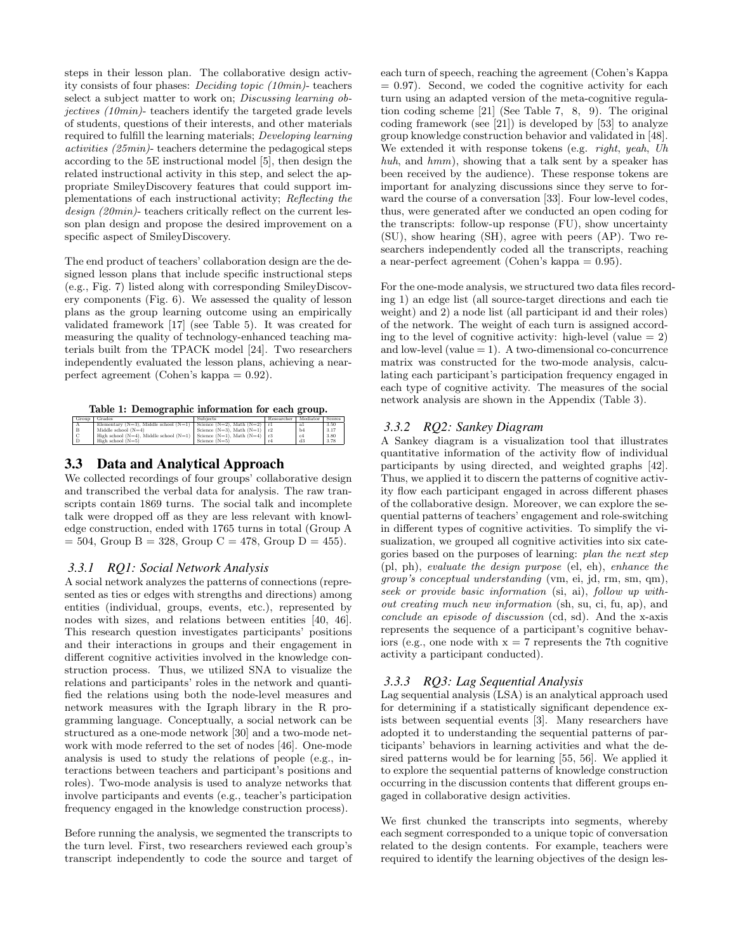steps in their lesson plan. The collaborative design activity consists of four phases: *Deciding topic (10min)*- teachers select a subject matter to work on; *Discussing learning objectives (10min)*- teachers identify the targeted grade levels of students, questions of their interests, and other materials required to fulfill the learning materials; *Developing learning activities (25min)*- teachers determine the pedagogical steps according to the 5E instructional model [5], then design the related instructional activity in this step, and select the appropriate SmileyDiscovery features that could support implementations of each instructional activity; *Reflecting the design (20min)*- teachers critically reflect on the current lesson plan design and propose the desired improvement on a specific aspect of SmileyDiscovery.

The end product of teachers' collaboration design are the designed lesson plans that include specific instructional steps (e.g., Fig. 7) listed along with corresponding SmileyDiscovery components (Fig. 6). We assessed the quality of lesson plans as the group learning outcome using an empirically validated framework [17] (see Table 5). It was created for measuring the quality of technology-enhanced teaching materials built from the TPACK model [24]. Two researchers independently evaluated the lesson plans, achieving a nearperfect agreement (Cohen's kappa = 0.92).

|    | Group   Grades                                                            | Subjects                            | Researcher   Mediator   Scores |         |      |
|----|---------------------------------------------------------------------------|-------------------------------------|--------------------------------|---------|------|
|    | Elementary (N=3), Middle school (N=1) Science (N=2), Math (N=2) $\mid$ r1 |                                     |                                | al      | 3.50 |
| ιB | Middle school $(N=4)$                                                     | Science $(N=3)$ . Math $(N=1)$   r2 |                                | b4      | 3.17 |
|    | High school (N=4), Middle school (N=1)   Science (N=1), Math (N=4)   $r3$ |                                     |                                | $_{c4}$ | 3.80 |
|    | High school $(N=5)$                                                       | Science $(N=5)$                     |                                | d3      | 3.78 |

#### 3.3 Data and Analytical Approach

We collected recordings of four groups' collaborative design and transcribed the verbal data for analysis. The raw transcripts contain 1869 turns. The social talk and incomplete talk were dropped off as they are less relevant with knowledge construction, ended with 1765 turns in total (Group A  $= 504$ , Group B = 328, Group C = 478, Group D = 455).

#### *3.3.1 RQ1: Social Network Analysis*

A social network analyzes the patterns of connections (represented as ties or edges with strengths and directions) among entities (individual, groups, events, etc.), represented by nodes with sizes, and relations between entities [40, 46]. This research question investigates participants' positions and their interactions in groups and their engagement in different cognitive activities involved in the knowledge construction process. Thus, we utilized SNA to visualize the relations and participants' roles in the network and quantified the relations using both the node-level measures and network measures with the Igraph library in the R programming language. Conceptually, a social network can be structured as a one-mode network [30] and a two-mode network with mode referred to the set of nodes [46]. One-mode analysis is used to study the relations of people (e.g., interactions between teachers and participant's positions and roles). Two-mode analysis is used to analyze networks that involve participants and events (e.g., teacher's participation frequency engaged in the knowledge construction process).

Before running the analysis, we segmented the transcripts to the turn level. First, two researchers reviewed each group's transcript independently to code the source and target of each turn of speech, reaching the agreement (Cohen's Kappa  $= 0.97$ ). Second, we coded the cognitive activity for each turn using an adapted version of the meta-cognitive regulation coding scheme [21] (See Table 7, 8, 9). The original coding framework (see [21]) is developed by [53] to analyze group knowledge construction behavior and validated in [48]. We extended it with response tokens (e.g. *right*, *yeah*, *Uh huh*, and *hmm*), showing that a talk sent by a speaker has been received by the audience). These response tokens are important for analyzing discussions since they serve to forward the course of a conversation [33]. Four low-level codes, thus, were generated after we conducted an open coding for the transcripts: follow-up response (FU), show uncertainty (SU), show hearing (SH), agree with peers (AP). Two researchers independently coded all the transcripts, reaching a near-perfect agreement (Cohen's kappa = 0.95).

For the one-mode analysis, we structured two data files recording 1) an edge list (all source-target directions and each tie weight) and 2) a node list (all participant id and their roles) of the network. The weight of each turn is assigned according to the level of cognitive activity: high-level (value  $= 2$ ) and low-level (value  $= 1$ ). A two-dimensional co-concurrence matrix was constructed for the two-mode analysis, calculating each participant's participation frequency engaged in each type of cognitive activity. The measures of the social network analysis are shown in the Appendix (Table 3).

#### *3.3.2 RQ2: Sankey Diagram*

A Sankey diagram is a visualization tool that illustrates quantitative information of the activity flow of individual participants by using directed, and weighted graphs [42]. Thus, we applied it to discern the patterns of cognitive activity flow each participant engaged in across different phases of the collaborative design. Moreover, we can explore the sequential patterns of teachers' engagement and role-switching in different types of cognitive activities. To simplify the visualization, we grouped all cognitive activities into six categories based on the purposes of learning: *plan the next step* (pl, ph), *evaluate the design purpose* (el, eh), *enhance the group's conceptual understanding* (vm, ei, jd, rm, sm, qm), *seek or provide basic information* (si, ai), *follow up without creating much new information* (sh, su, ci, fu, ap), and *conclude an episode of discussion* (cd, sd). And the x-axis represents the sequence of a participant's cognitive behaviors (e.g., one node with  $x = 7$  represents the 7th cognitive activity a participant conducted).

#### *3.3.3 RQ3: Lag Sequential Analysis*

Lag sequential analysis (LSA) is an analytical approach used for determining if a statistically significant dependence exists between sequential events [3]. Many researchers have adopted it to understanding the sequential patterns of participants' behaviors in learning activities and what the desired patterns would be for learning [55, 56]. We applied it to explore the sequential patterns of knowledge construction occurring in the discussion contents that different groups engaged in collaborative design activities.

We first chunked the transcripts into segments, whereby each segment corresponded to a unique topic of conversation related to the design contents. For example, teachers were required to identify the learning objectives of the design les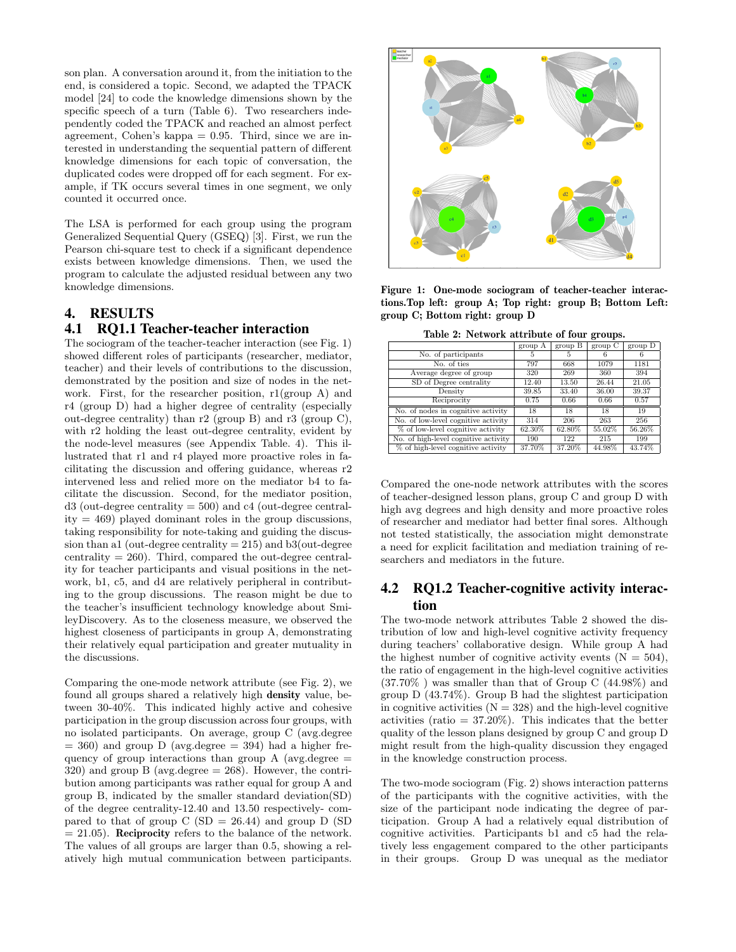son plan. A conversation around it, from the initiation to the end, is considered a topic. Second, we adapted the TPACK model [24] to code the knowledge dimensions shown by the specific speech of a turn (Table 6). Two researchers independently coded the TPACK and reached an almost perfect agreement, Cohen's kappa  $= 0.95$ . Third, since we are interested in understanding the sequential pattern of different knowledge dimensions for each topic of conversation, the duplicated codes were dropped off for each segment. For example, if TK occurs several times in one segment, we only counted it occurred once.

The LSA is performed for each group using the program Generalized Sequential Query (GSEQ) [3]. First, we run the Pearson chi-square test to check if a significant dependence exists between knowledge dimensions. Then, we used the program to calculate the adjusted residual between any two knowledge dimensions.

#### 4. RESULTS

#### 4.1 RQ1.1 Teacher-teacher interaction

The sociogram of the teacher-teacher interaction (see Fig. 1) showed different roles of participants (researcher, mediator, teacher) and their levels of contributions to the discussion, demonstrated by the position and size of nodes in the network. First, for the researcher position, r1(group A) and r4 (group D) had a higher degree of centrality (especially out-degree centrality) than r2 (group B) and r3 (group C), with r2 holding the least out-degree centrality, evident by the node-level measures (see Appendix Table. 4). This illustrated that r1 and r4 played more proactive roles in facilitating the discussion and offering guidance, whereas  $r2$ intervened less and relied more on the mediator b4 to facilitate the discussion. Second, for the mediator position,  $d3$  (out-degree centrality  $= 500$ ) and c4 (out-degree centrality = 469) played dominant roles in the group discussions, taking responsibility for note-taking and guiding the discussion than a1 (out-degree centrality  $= 215$ ) and b3(out-degree centrality  $= 260$ . Third, compared the out-degree centrality for teacher participants and visual positions in the network, b1, c5, and d4 are relatively peripheral in contributing to the group discussions. The reason might be due to the teacher's insufficient technology knowledge about SmileyDiscovery. As to the closeness measure, we observed the highest closeness of participants in group A, demonstrating their relatively equal participation and greater mutuality in the discussions.

Comparing the one-mode network attribute (see Fig. 2), we found all groups shared a relatively high density value, between 30-40%. This indicated highly active and cohesive participation in the group discussion across four groups, with no isolated participants. On average, group C (avg.degree  $= 360$ ) and group D (avg.degree  $= 394$ ) had a higher frequency of group interactions than group A (avg.degree  $=$  $320$ ) and group B (avg.degree  $= 268$ ). However, the contribution among participants was rather equal for group A and group B, indicated by the smaller standard deviation(SD) of the degree centrality-12.40 and 13.50 respectively- compared to that of group  $C(SD = 26.44)$  and group  $D(SD)$  $= 21.05$ ). Reciprocity refers to the balance of the network. The values of all groups are larger than 0.5, showing a relatively high mutual communication between participants.



Figure 1: One-mode sociogram of teacher-teacher interactions.Top left: group A; Top right: group B; Bottom Left: group C; Bottom right: group D

Table 2: Network attribute of four groups.

|                                      | group A | group B | $_{\rm group}$ C | group D |
|--------------------------------------|---------|---------|------------------|---------|
| No. of participants                  | 5       | 5       | 6                | 6       |
| No. of ties                          | 797     | 668     | 1079             | 1181    |
| Average degree of group              | 320     | 269     | 360              | 394     |
| SD of Degree centrality              | 12.40   | 13.50   | 26.44            | 21.05   |
| Density                              | 39.85   | 33.40   | 36.00            | 39.37   |
| Reciprocity                          | 0.75    | 0.66    | 0.66             | 0.57    |
| No. of nodes in cognitive activity   | 18      | 18      | 18               | 19      |
| No. of low-level cognitive activity  | 314     | 206     | 263              | 256     |
| % of low-level cognitive activity    | 62.30%  | 62.80%  | 55.02%           | 56.26%  |
| No. of high-level cognitive activity | 190     | 122     | 215              | 199     |
| % of high-level cognitive activity   | 37.70%  | 37.20%  | 44.98%           | 43.74%  |

Compared the one-node network attributes with the scores of teacher-designed lesson plans, group C and group D with high avg degrees and high density and more proactive roles of researcher and mediator had better final sores. Although not tested statistically, the association might demonstrate a need for explicit facilitation and mediation training of researchers and mediators in the future.

# 4.2 RQ1.2 Teacher-cognitive activity interaction

The two-mode network attributes Table 2 showed the distribution of low and high-level cognitive activity frequency during teachers' collaborative design. While group A had the highest number of cognitive activity events  $(N = 504)$ . the ratio of engagement in the high-level cognitive activities (37.70% ) was smaller than that of Group C (44.98%) and group D (43.74%). Group B had the slightest participation in cognitive activities  $(N = 328)$  and the high-level cognitive activities (ratio  $= 37.20\%$ ). This indicates that the better quality of the lesson plans designed by group C and group D might result from the high-quality discussion they engaged in the knowledge construction process.

The two-mode sociogram (Fig. 2) shows interaction patterns of the participants with the cognitive activities, with the size of the participant node indicating the degree of participation. Group A had a relatively equal distribution of cognitive activities. Participants b1 and c5 had the relatively less engagement compared to the other participants in their groups. Group D was unequal as the mediator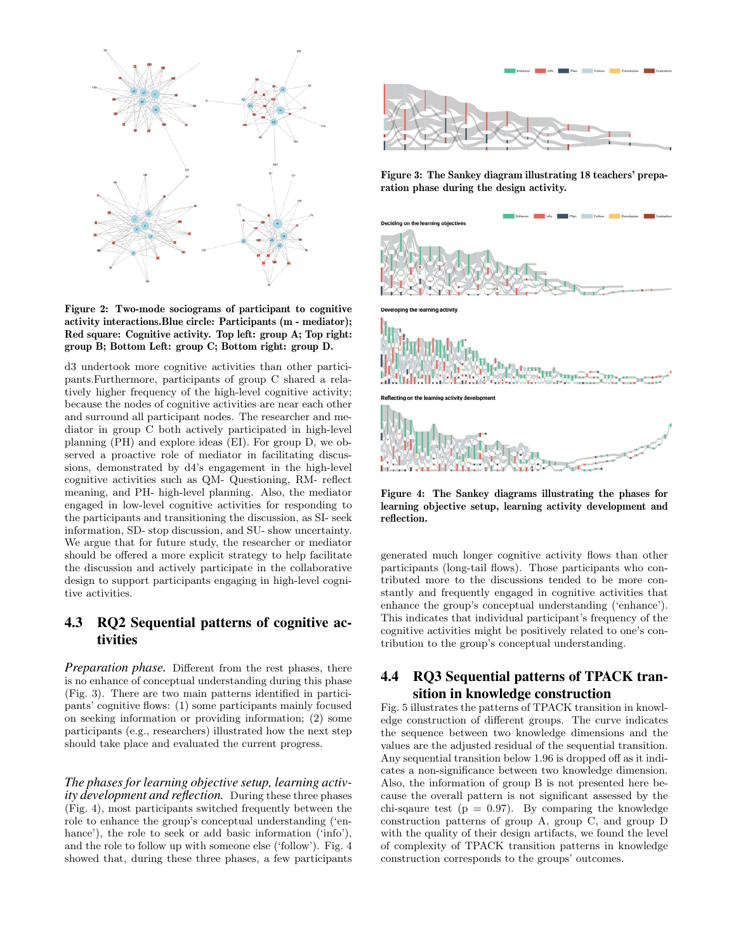

Figure 2: Two-mode sociograms of participant to cognitive activity interactions.Blue circle: Participants (m - mediator); Red square: Cognitive activity. Top left: group A; Top right: group B; Bottom Left: group C; Bottom right: group D.

d3 undertook more cognitive activities than other participants.Furthermore, participants of group C shared a relatively higher frequency of the high-level cognitive activity; because the nodes of cognitive activities are near each other and surround all participant nodes. The researcher and mediator in group C both actively participated in high-level planning (PH) and explore ideas (EI). For group D, we observed a proactive role of mediator in facilitating discussions, demonstrated by d4's engagement in the high-level cognitive activities such as QM- Questioning, RM- reflect meaning, and PH- high-level planning. Also, the mediator engaged in low-level cognitive activities for responding to the participants and transitioning the discussion, as SI- seek information, SD- stop discussion, and SU- show uncertainty. We argue that for future study, the researcher or mediator should be offered a more explicit strategy to help facilitate the discussion and actively participate in the collaborative design to support participants engaging in high-level cognitive activities.

# 4.3 RQ2 Sequential patterns of cognitive activities

*Preparation phase.* Different from the rest phases, there is no enhance of conceptual understanding during this phase (Fig. 3). There are two main patterns identified in participants' cognitive flows: (1) some participants mainly focused on seeking information or providing information; (2) some participants (e.g., researchers) illustrated how the next step should take place and evaluated the current progress.

*The phases for learning objective setup, learning activity development and reflection.* During these three phases (Fig. 4), most participants switched frequently between the role to enhance the group's conceptual understanding ('enhance'), the role to seek or add basic information ('info'), and the role to follow up with someone else ('follow'). Fig. 4 showed that, during these three phases, a few participants



Figure 3: The Sankey diagram illustrating 18 teachers' preparation phase during the design activity.



Figure 4: The Sankey diagrams illustrating the phases for learning objective setup, learning activity development and reflection.

generated much longer cognitive activity flows than other participants (long-tail flows). Those participants who contributed more to the discussions tended to be more constantly and frequently engaged in cognitive activities that enhance the group's conceptual understanding ('enhance'). This indicates that individual participant's frequency of the cognitive activities might be positively related to one's contribution to the group's conceptual understanding.

# 4.4 RQ3 Sequential patterns of TPACK transition in knowledge construction

Fig. 5 illustrates the patterns of TPACK transition in knowledge construction of different groups. The curve indicates the sequence between two knowledge dimensions and the values are the adjusted residual of the sequential transition. Any sequential transition below 1.96 is dropped off as it indicates a non-significance between two knowledge dimension. Also, the information of group B is not presented here because the overall pattern is not significant assessed by the chi-sqaure test ( $p = 0.97$ ). By comparing the knowledge construction patterns of group A, group C, and group D with the quality of their design artifacts, we found the level of complexity of TPACK transition patterns in knowledge construction corresponds to the groups' outcomes.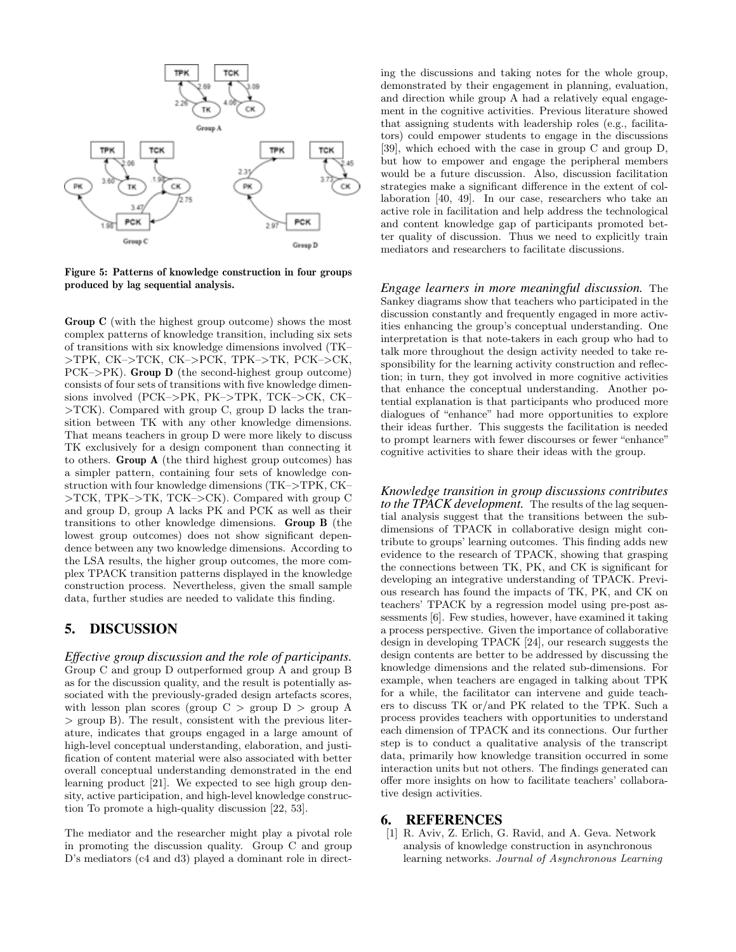

Figure 5: Patterns of knowledge construction in four groups produced by lag sequential analysis.

Group C (with the highest group outcome) shows the most complex patterns of knowledge transition, including six sets of transitions with six knowledge dimensions involved (TK– *>*TPK, CK–*>*TCK, CK–*>*PCK, TPK–*>*TK, PCK–*>*CK, PCK–*>*PK). Group D (the second-highest group outcome) consists of four sets of transitions with five knowledge dimensions involved (PCK–*>*PK, PK–*>*TPK, TCK–*>*CK, CK– *>*TCK). Compared with group C, group D lacks the transition between TK with any other knowledge dimensions. That means teachers in group D were more likely to discuss TK exclusively for a design component than connecting it to others. Group A (the third highest group outcomes) has a simpler pattern, containing four sets of knowledge construction with four knowledge dimensions (TK–*>*TPK, CK– *>*TCK, TPK–*>*TK, TCK–*>*CK). Compared with group C and group D, group A lacks PK and PCK as well as their transitions to other knowledge dimensions. Group B (the lowest group outcomes) does not show significant dependence between any two knowledge dimensions. According to the LSA results, the higher group outcomes, the more complex TPACK transition patterns displayed in the knowledge construction process. Nevertheless, given the small sample data, further studies are needed to validate this finding.

## 5. DISCUSSION

*Effective group discussion and the role of participants.* Group C and group D outperformed group A and group B as for the discussion quality, and the result is potentially associated with the previously-graded design artefacts scores, with lesson plan scores (group C *>* group D *>* group A *>* group B). The result, consistent with the previous literature, indicates that groups engaged in a large amount of high-level conceptual understanding, elaboration, and justification of content material were also associated with better overall conceptual understanding demonstrated in the end learning product [21]. We expected to see high group density, active participation, and high-level knowledge construction To promote a high-quality discussion [22, 53].

The mediator and the researcher might play a pivotal role in promoting the discussion quality. Group C and group D's mediators (c4 and d3) played a dominant role in directing the discussions and taking notes for the whole group, demonstrated by their engagement in planning, evaluation, and direction while group A had a relatively equal engagement in the cognitive activities. Previous literature showed that assigning students with leadership roles (e.g., facilitators) could empower students to engage in the discussions [39], which echoed with the case in group C and group D, but how to empower and engage the peripheral members would be a future discussion. Also, discussion facilitation strategies make a significant difference in the extent of collaboration [40, 49]. In our case, researchers who take an active role in facilitation and help address the technological and content knowledge gap of participants promoted better quality of discussion. Thus we need to explicitly train mediators and researchers to facilitate discussions.

*Engage learners in more meaningful discussion.* The Sankey diagrams show that teachers who participated in the discussion constantly and frequently engaged in more activities enhancing the group's conceptual understanding. One interpretation is that note-takers in each group who had to talk more throughout the design activity needed to take responsibility for the learning activity construction and reflection; in turn, they got involved in more cognitive activities that enhance the conceptual understanding. Another potential explanation is that participants who produced more dialogues of "enhance" had more opportunities to explore their ideas further. This suggests the facilitation is needed to prompt learners with fewer discourses or fewer "enhance" cognitive activities to share their ideas with the group.

*Knowledge transition in group discussions contributes to the TPACK development.* The results of the lag sequential analysis suggest that the transitions between the subdimensions of TPACK in collaborative design might contribute to groups' learning outcomes. This finding adds new evidence to the research of TPACK, showing that grasping the connections between TK, PK, and CK is significant for developing an integrative understanding of TPACK. Previous research has found the impacts of TK, PK, and CK on teachers' TPACK by a regression model using pre-post assessments [6]. Few studies, however, have examined it taking a process perspective. Given the importance of collaborative design in developing TPACK [24], our research suggests the design contents are better to be addressed by discussing the knowledge dimensions and the related sub-dimensions. For example, when teachers are engaged in talking about TPK for a while, the facilitator can intervene and guide teachers to discuss TK or/and PK related to the TPK. Such a process provides teachers with opportunities to understand each dimension of TPACK and its connections. Our further step is to conduct a qualitative analysis of the transcript data, primarily how knowledge transition occurred in some interaction units but not others. The findings generated can offer more insights on how to facilitate teachers' collaborative design activities.

#### 6. REFERENCES

[1] R. Aviv, Z. Erlich, G. Ravid, and A. Geva. Network analysis of knowledge construction in asynchronous learning networks. *Journal of Asynchronous Learning*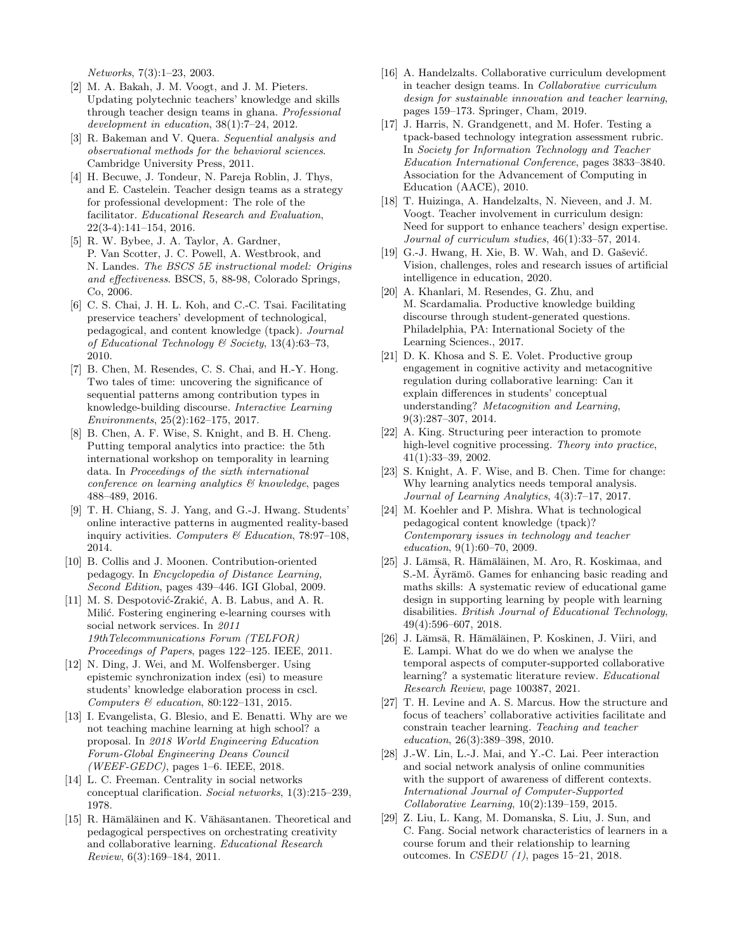*Networks*, 7(3):1–23, 2003.

- [2] M. A. Bakah, J. M. Voogt, and J. M. Pieters. Updating polytechnic teachers' knowledge and skills through teacher design teams in ghana. *Professional development in education*, 38(1):7–24, 2012.
- [3] R. Bakeman and V. Quera. *Sequential analysis and observational methods for the behavioral sciences*. Cambridge University Press, 2011.
- [4] H. Becuwe, J. Tondeur, N. Pareja Roblin, J. Thys, and E. Castelein. Teacher design teams as a strategy for professional development: The role of the facilitator. *Educational Research and Evaluation*, 22(3-4):141–154, 2016.
- [5] R. W. Bybee, J. A. Taylor, A. Gardner, P. Van Scotter, J. C. Powell, A. Westbrook, and N. Landes. *The BSCS 5E instructional model: Origins* and effectiveness. BSCS, 5, 88-98, Colorado Springs, Co, 2006.
- [6] C. S. Chai, J. H. L. Koh, and C.-C. Tsai. Facilitating preservice teachers' development of technological, pedagogical, and content knowledge (tpack). *Journal of Educational Technology & Society*, 13(4):63–73, 2010.
- [7] B. Chen, M. Resendes, C. S. Chai, and H.-Y. Hong. Two tales of time: uncovering the significance of sequential patterns among contribution types in knowledge-building discourse. *Interactive Learning Environments*, 25(2):162–175, 2017.
- [8] B. Chen, A. F. Wise, S. Knight, and B. H. Cheng. Putting temporal analytics into practice: the 5th international workshop on temporality in learning data. In *Proceedings of the sixth international conference on learning analytics & knowledge*, pages 488–489, 2016.
- [9] T. H. Chiang, S. J. Yang, and G.-J. Hwang. Students' online interactive patterns in augmented reality-based inquiry activities. *Computers & Education*, 78:97–108, 2014.
- [10] B. Collis and J. Moonen. Contribution-oriented pedagogy. In *Encyclopedia of Distance Learning, Second Edition*, pages 439–446. IGI Global, 2009.
- [11] M. S. Despotović-Zrakić, A. B. Labus, and A. R. Milić. Fostering enginering e-learning courses with social network services. In *2011 19thTelecommunications Forum (TELFOR) Proceedings of Papers*, pages 122–125. IEEE, 2011.
- [12] N. Ding, J. Wei, and M. Wolfensberger. Using epistemic synchronization index (esi) to measure students' knowledge elaboration process in cscl. *Computers & education*, 80:122–131, 2015.
- [13] I. Evangelista, G. Blesio, and E. Benatti. Why are we not teaching machine learning at high school? a proposal. In *2018 World Engineering Education Forum-Global Engineering Deans Council (WEEF-GEDC)*, pages 1–6. IEEE, 2018.
- [14] L. C. Freeman. Centrality in social networks conceptual clarification. *Social networks*, 1(3):215–239, 1978.
- [15] R. Hämäläinen and K. Vähäsantanen. Theoretical and pedagogical perspectives on orchestrating creativity and collaborative learning. *Educational Research Review*, 6(3):169–184, 2011.
- [16] A. Handelzalts. Collaborative curriculum development in teacher design teams. In *Collaborative curriculum design for sustainable innovation and teacher learning*, pages 159–173. Springer, Cham, 2019.
- [17] J. Harris, N. Grandgenett, and M. Hofer. Testing a tpack-based technology integration assessment rubric. In *Society for Information Technology and Teacher Education International Conference*, pages 3833–3840. Association for the Advancement of Computing in Education (AACE), 2010.
- [18] T. Huizinga, A. Handelzalts, N. Nieveen, and J. M. Voogt. Teacher involvement in curriculum design: Need for support to enhance teachers' design expertise. *Journal of curriculum studies*, 46(1):33–57, 2014.
- [19] G.-J. Hwang, H. Xie, B. W. Wah, and D. Gašević. Vision, challenges, roles and research issues of artificial intelligence in education, 2020.
- [20] A. Khanlari, M. Resendes, G. Zhu, and M. Scardamalia. Productive knowledge building discourse through student-generated questions. Philadelphia, PA: International Society of the Learning Sciences., 2017.
- [21] D. K. Khosa and S. E. Volet. Productive group engagement in cognitive activity and metacognitive regulation during collaborative learning: Can it explain differences in students' conceptual understanding? *Metacognition and Learning*, 9(3):287–307, 2014.
- [22] A. King. Structuring peer interaction to promote high-level cognitive processing. *Theory into practice*, 41(1):33–39, 2002.
- [23] S. Knight, A. F. Wise, and B. Chen. Time for change: Why learning analytics needs temporal analysis. *Journal of Learning Analytics*, 4(3):7–17, 2017.
- [24] M. Koehler and P. Mishra. What is technological pedagogical content knowledge (tpack)? *Contemporary issues in technology and teacher education*, 9(1):60–70, 2009.
- [25] J. Lämsä, R. Hämäläinen, M. Aro, R. Koskimaa, and S.-M. Äyrämö. Games for enhancing basic reading and maths skills: A systematic review of educational game design in supporting learning by people with learning disabilities. *British Journal of Educational Technology*, 49(4):596–607, 2018.
- [26] J. Lämsä, R. Hämäläinen, P. Koskinen, J. Viiri, and E. Lampi. What do we do when we analyse the temporal aspects of computer-supported collaborative learning? a systematic literature review. *Educational Research Review*, page 100387, 2021.
- [27] T. H. Levine and A. S. Marcus. How the structure and focus of teachers' collaborative activities facilitate and constrain teacher learning. *Teaching and teacher education*, 26(3):389–398, 2010.
- [28] J.-W. Lin, L.-J. Mai, and Y.-C. Lai. Peer interaction and social network analysis of online communities with the support of awareness of different contexts. *International Journal of Computer-Supported Collaborative Learning*, 10(2):139–159, 2015.
- [29] Z. Liu, L. Kang, M. Domanska, S. Liu, J. Sun, and C. Fang. Social network characteristics of learners in a course forum and their relationship to learning outcomes. In *CSEDU (1)*, pages 15–21, 2018.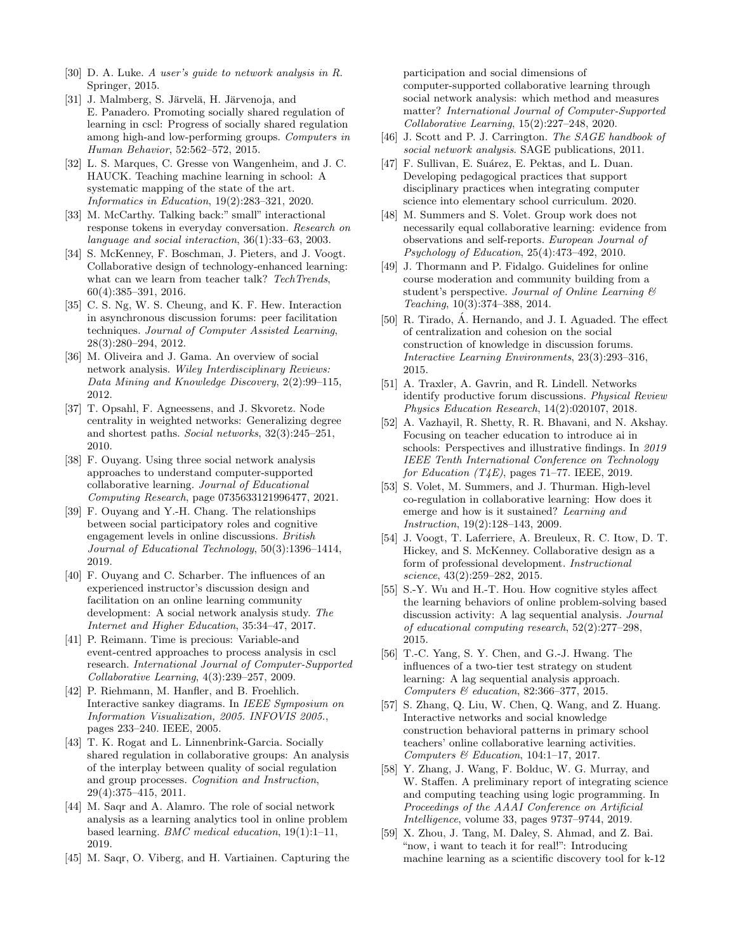- [30] D. A. Luke. *A user's guide to network analysis in R*. Springer, 2015.
- [31] J. Malmberg, S. Järvelä, H. Järvenoja, and E. Panadero. Promoting socially shared regulation of learning in cscl: Progress of socially shared regulation among high-and low-performing groups. *Computers in Human Behavior*, 52:562–572, 2015.
- [32] L. S. Marques, C. Gresse von Wangenheim, and J. C. HAUCK. Teaching machine learning in school: A systematic mapping of the state of the art. *Informatics in Education*, 19(2):283–321, 2020.
- [33] M. McCarthy. Talking back:" small" interactional response tokens in everyday conversation. *Research on language and social interaction*, 36(1):33–63, 2003.
- [34] S. McKenney, F. Boschman, J. Pieters, and J. Voogt. Collaborative design of technology-enhanced learning: what can we learn from teacher talk? *TechTrends*, 60(4):385–391, 2016.
- [35] C. S. Ng, W. S. Cheung, and K. F. Hew. Interaction in asynchronous discussion forums: peer facilitation techniques. *Journal of Computer Assisted Learning*, 28(3):280–294, 2012.
- [36] M. Oliveira and J. Gama. An overview of social network analysis. *Wiley Interdisciplinary Reviews: Data Mining and Knowledge Discovery*, 2(2):99–115, 2012.
- [37] T. Opsahl, F. Agneessens, and J. Skvoretz. Node centrality in weighted networks: Generalizing degree and shortest paths. *Social networks*, 32(3):245–251, 2010.
- [38] F. Ouyang. Using three social network analysis approaches to understand computer-supported collaborative learning. *Journal of Educational Computing Research*, page 0735633121996477, 2021.
- [39] F. Ouyang and Y.-H. Chang. The relationships between social participatory roles and cognitive engagement levels in online discussions. *British Journal of Educational Technology*, 50(3):1396–1414, 2019.
- [40] F. Ouyang and C. Scharber. The influences of an experienced instructor's discussion design and facilitation on an online learning community development: A social network analysis study. *The Internet and Higher Education*, 35:34–47, 2017.
- [41] P. Reimann. Time is precious: Variable-and event-centred approaches to process analysis in cscl research. *International Journal of Computer-Supported Collaborative Learning*, 4(3):239–257, 2009.
- [42] P. Riehmann, M. Hanfler, and B. Froehlich. Interactive sankey diagrams. In *IEEE Symposium on Information Visualization, 2005. INFOVIS 2005.*, pages 233–240. IEEE, 2005.
- [43] T. K. Rogat and L. Linnenbrink-Garcia. Socially shared regulation in collaborative groups: An analysis of the interplay between quality of social regulation and group processes. *Cognition and Instruction*, 29(4):375–415, 2011.
- [44] M. Saqr and A. Alamro. The role of social network analysis as a learning analytics tool in online problem based learning. *BMC medical education*, 19(1):1–11, 2019.
- [45] M. Saqr, O. Viberg, and H. Vartiainen. Capturing the

participation and social dimensions of computer-supported collaborative learning through social network analysis: which method and measures matter? *International Journal of Computer-Supported Collaborative Learning*, 15(2):227–248, 2020.

- [46] J. Scott and P. J. Carrington. *The SAGE handbook of social network analysis*. SAGE publications, 2011.
- [47] F. Sullivan, E. Suárez, E. Pektas, and L. Duan. Developing pedagogical practices that support disciplinary practices when integrating computer science into elementary school curriculum. 2020.
- [48] M. Summers and S. Volet. Group work does not necessarily equal collaborative learning: evidence from observations and self-reports. *European Journal of Psychology of Education*, 25(4):473–492, 2010.
- [49] J. Thormann and P. Fidalgo. Guidelines for online course moderation and community building from a student's perspective. *Journal of Online Learning & Teaching*, 10(3):374–388, 2014.
- $[50]$  R. Tirado,  $\acute{A}$ . Hernando, and J. I. Aguaded. The effect of centralization and cohesion on the social construction of knowledge in discussion forums. *Interactive Learning Environments*, 23(3):293–316, 2015.
- [51] A. Traxler, A. Gavrin, and R. Lindell. Networks identify productive forum discussions. *Physical Review Physics Education Research*, 14(2):020107, 2018.
- [52] A. Vazhayil, R. Shetty, R. R. Bhavani, and N. Akshay. Focusing on teacher education to introduce ai in schools: Perspectives and illustrative findings. In *2019 IEEE Tenth International Conference on Technology for Education (T4E)*, pages 71–77. IEEE, 2019.
- [53] S. Volet, M. Summers, and J. Thurman. High-level co-regulation in collaborative learning: How does it emerge and how is it sustained? *Learning and Instruction*, 19(2):128–143, 2009.
- [54] J. Voogt, T. Laferriere, A. Breuleux, R. C. Itow, D. T. Hickey, and S. McKenney. Collaborative design as a form of professional development. *Instructional science*, 43(2):259–282, 2015.
- [55] S.-Y. Wu and H.-T. Hou. How cognitive styles affect the learning behaviors of online problem-solving based discussion activity: A lag sequential analysis. *Journal of educational computing research*, 52(2):277–298, 2015.
- [56] T.-C. Yang, S. Y. Chen, and G.-J. Hwang. The influences of a two-tier test strategy on student learning: A lag sequential analysis approach. *Computers & education*, 82:366–377, 2015.
- [57] S. Zhang, Q. Liu, W. Chen, Q. Wang, and Z. Huang. Interactive networks and social knowledge construction behavioral patterns in primary school teachers' online collaborative learning activities. *Computers & Education*, 104:1–17, 2017.
- [58] Y. Zhang, J. Wang, F. Bolduc, W. G. Murray, and W. Staffen. A preliminary report of integrating science and computing teaching using logic programming. In *Proceedings of the AAAI Conference on Artificial Intelligence*, volume 33, pages 9737–9744, 2019.
- [59] X. Zhou, J. Tang, M. Daley, S. Ahmad, and Z. Bai. "now, i want to teach it for real!": Introducing machine learning as a scientific discovery tool for k-12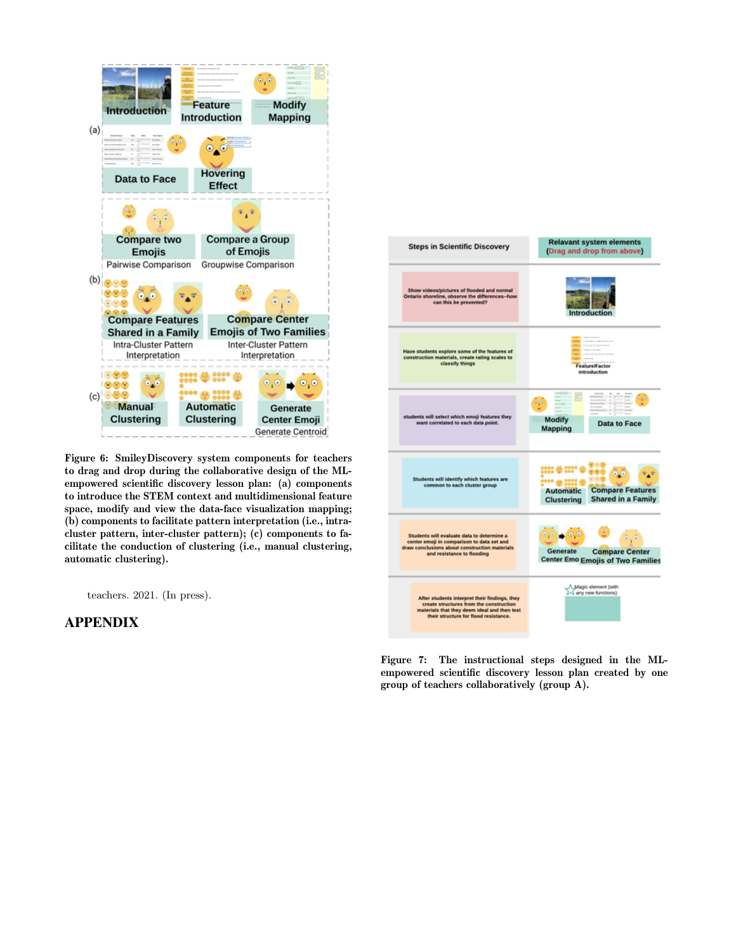

Figure 6: SmileyDiscovery system components for teachers to drag and drop during the collaborative design of the MLempowered scientific discovery lesson plan: (a) components to introduce the STEM context and multidimensional feature space, modify and view the data-face visualization mapping; (b) components to facilitate pattern interpretation (i.e., intracluster pattern, inter-cluster pattern); (c) components to facilitate the conduction of clustering (i.e., manual clustering, automatic clustering).

teachers. 2021. (In press).

#### APPENDIX



Figure 7: The instructional steps designed in the MLempowered scientific discovery lesson plan created by one group of teachers collaboratively (group A).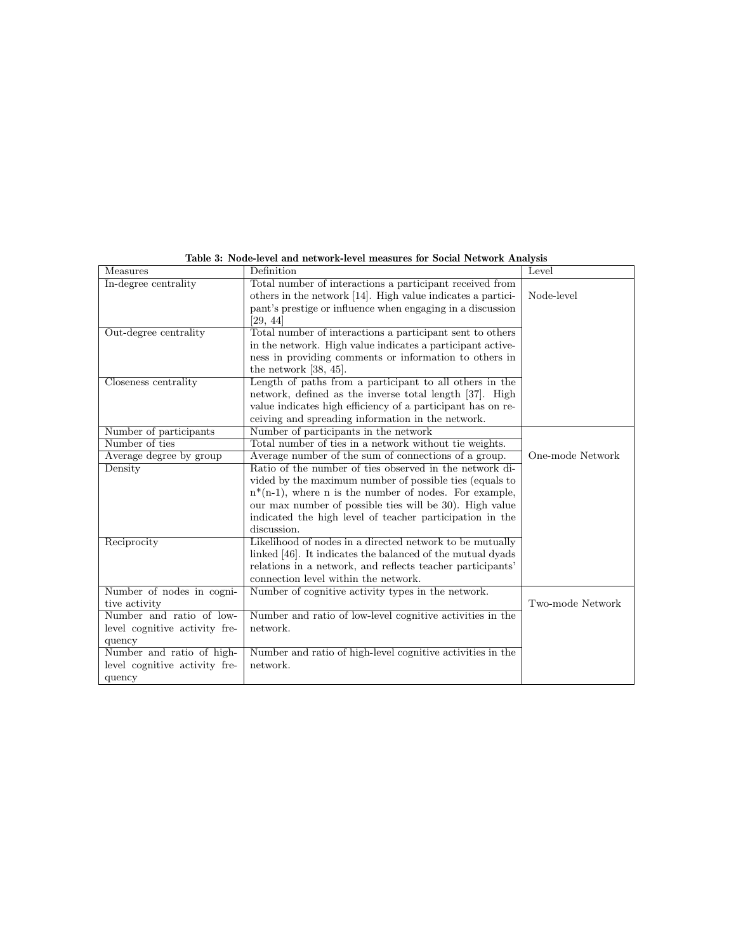| Measures                      | Definition                                                  | Level            |
|-------------------------------|-------------------------------------------------------------|------------------|
| In-degree centrality          | Total number of interactions a participant received from    |                  |
|                               | others in the network [14]. High value indicates a partici- | Node-level       |
|                               | pant's prestige or influence when engaging in a discussion  |                  |
|                               | [29, 44]                                                    |                  |
| Out-degree centrality         | Total number of interactions a participant sent to others   |                  |
|                               | in the network. High value indicates a participant active-  |                  |
|                               | ness in providing comments or information to others in      |                  |
|                               | the network $[38, 45]$ .                                    |                  |
| Closeness centrality          | Length of paths from a participant to all others in the     |                  |
|                               | network, defined as the inverse total length [37]. High     |                  |
|                               | value indicates high efficiency of a participant has on re- |                  |
|                               | ceiving and spreading information in the network.           |                  |
| Number of participants        | Number of participants in the network                       |                  |
| Number of ties                | Total number of ties in a network without tie weights.      |                  |
| Average degree by group       | Average number of the sum of connections of a group.        | One-mode Network |
| Density                       | Ratio of the number of ties observed in the network di-     |                  |
|                               | vided by the maximum number of possible ties (equals to     |                  |
|                               | $n*(n-1)$ , where n is the number of nodes. For example,    |                  |
|                               | our max number of possible ties will be 30. High value      |                  |
|                               | indicated the high level of teacher participation in the    |                  |
|                               | discussion.                                                 |                  |
| Reciprocity                   | Likelihood of nodes in a directed network to be mutually    |                  |
|                               | linked [46]. It indicates the balanced of the mutual dyads  |                  |
|                               | relations in a network, and reflects teacher participants'  |                  |
|                               | connection level within the network.                        |                  |
| Number of nodes in cogni-     | Number of cognitive activity types in the network.          |                  |
| tive activity                 |                                                             | Two-mode Network |
| Number and ratio of low-      | Number and ratio of low-level cognitive activities in the   |                  |
| level cognitive activity fre- | network.                                                    |                  |
| quency                        |                                                             |                  |
| Number and ratio of high-     | Number and ratio of high-level cognitive activities in the  |                  |
| level cognitive activity fre- | network.                                                    |                  |
| quency                        |                                                             |                  |

Table 3: Node-level and network-level measures for Social Network Analysis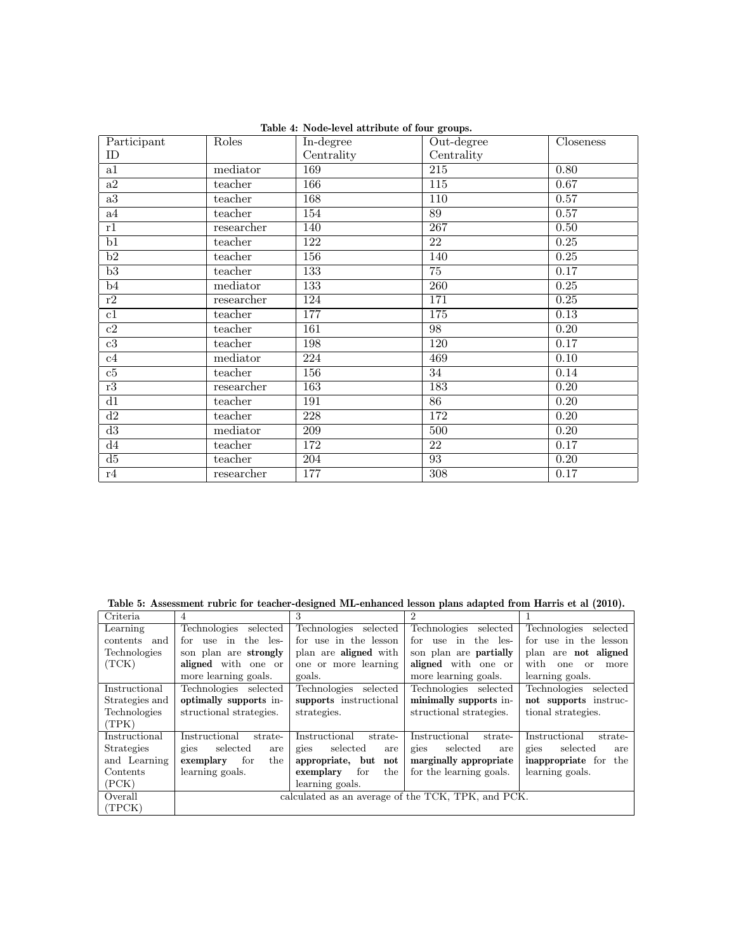| Participant     | Roles      | In-degree        | Out-degree       | Closeness         |
|-----------------|------------|------------------|------------------|-------------------|
| ID              |            | Centrality       | Centrality       |                   |
| a1              | mediator   | 169              | $\overline{215}$ | $0.\overline{80}$ |
| a2              | teacher    | 166              | 115              | 0.67              |
| $\overline{a3}$ | teacher    | 168              | 110              | $\overline{0.57}$ |
| a4              | teacher    | 154              | 89               | 0.57              |
| r1              | researcher | 140              | $\overline{267}$ | 0.50              |
| $\overline{b1}$ | teacher    | 122              | $\overline{22}$  | 0.25              |
| $\overline{b2}$ | teacher    | 156              | 140              | 0.25              |
| $\overline{b3}$ | teacher    | 133              | $\overline{75}$  | 0.17              |
| $\overline{b4}$ | mediator   | $\overline{133}$ | $\overline{260}$ | 0.25              |
| r2              | researcher | 124              | 171              | 0.25              |
| c1              | teacher    | 177              | 175              | 0.13              |
| c2              | teacher    | 161              | 98               | 0.20              |
| $\overline{c3}$ | teacher    | 198              | 120              | 0.17              |
| c4              | mediator   | 224              | 469              | $\overline{0.10}$ |
| $\overline{c5}$ | teacher    | 156              | $\overline{34}$  | 0.14              |
| $\overline{r3}$ | researcher | 163              | 183              | 0.20              |
| $\overline{d1}$ | teacher    | 191              | $\overline{86}$  | 0.20              |
| $\overline{d2}$ | teacher    | 228              | 172              | 0.20              |
| d3              | mediator   | $\overline{209}$ | 500              | 0.20              |
| d4              | teacher    | 172              | 22               | 0.17              |
| d5              | teacher    | 204              | 93               | 0.20              |
| r4              | researcher | 177              | $\overline{308}$ | 0.17              |

Table 4: Node-level attribute of four groups.

Table 5: Assessment rubric for teacher-designed ML-enhanced lesson plans adapted from Harris et al (2010).

| Criteria          | 4                        | 3                                                  | $\mathfrak{D}$                |                          |  |
|-------------------|--------------------------|----------------------------------------------------|-------------------------------|--------------------------|--|
| Learning          | Technologies selected    | Technologies selected                              | Technologies selected         | Technologies selected    |  |
| contents and      | use in the les-<br>for   | for use in the lesson                              | use in the les-<br>for        | for use in the lesson    |  |
| Technologies      | son plan are strongly    | plan are <b>aligned</b> with                       | son plan are <b>partially</b> | plan are not aligned     |  |
| (TCK)             | aligned with one or      | one or more learning                               | aligned with one or           | with one or<br>more      |  |
|                   | more learning goals.     | goals.                                             | more learning goals.          | learning goals.          |  |
| Instructional     | Technologies selected    | Technologies selected                              | Technologies selected         | Technologies selected    |  |
| Strategies and    | optimally supports in-   | supports instructional                             | minimally supports in-        | not supports instruc-    |  |
| Technologies      | structional strategies.  | strategies.                                        | structional strategies.       | tional strategies.       |  |
| (TPK)             |                          |                                                    |                               |                          |  |
| Instructional     | Instructional<br>strate- | Instructional<br>strate-                           | Instructional<br>strate-      | Instructional<br>strate- |  |
| <b>Strategies</b> | selected<br>gies<br>are  | selected<br>gies<br>are                            | gies<br>selected<br>are       | gies<br>selected<br>are  |  |
| and Learning      | exemplary<br>the<br>for  | appropriate, but<br>$\mathbf{not}$                 | marginally appropriate        | inappropriate for the    |  |
| Contents          | learning goals.          | for<br>the<br>exemplary                            | for the learning goals.       | learning goals.          |  |
| (PCK)             |                          | learning goals.                                    |                               |                          |  |
| Overall           |                          | calculated as an average of the TCK, TPK, and PCK. |                               |                          |  |
| (TPCK)            |                          |                                                    |                               |                          |  |